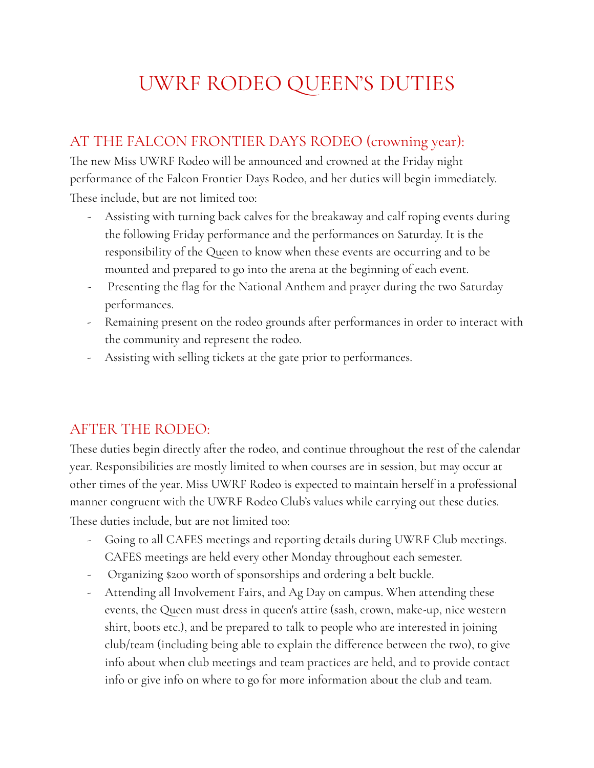## UWRF RODEO QUEEN'S DUTIES

## AT THE FALCON FRONTIER DAYS RODEO (crowning year):

The new Miss UWRF Rodeo will be announced and crowned at the Friday night performance of the Falcon Frontier Days Rodeo, and her duties will begin immediately. These include, but are not limited too:

- Assisting with turning back calves for the breakaway and calf roping events during the following Friday performance and the performances on Saturday. It is the responsibility of the Queen to know when these events are occurring and to be mounted and prepared to go into the arena at the beginning of each event.
- Presenting the flag for the National Anthem and prayer during the two Saturday performances.
- Remaining present on the rodeo grounds after performances in order to interact with the community and represent the rodeo.
- Assisting with selling tickets at the gate prior to performances.

## AFTER THE RODEO:

These duties begin directly after the rodeo, and continue throughout the rest of the calendar year. Responsibilities are mostly limited to when courses are in session, but may occur at other times of the year. Miss UWRF Rodeo is expected to maintain herself in a professional manner congruent with the UWRF Rodeo Club's values while carrying out these duties. These duties include, but are not limited too:

- Going to all CAFES meetings and reporting details during UWRF Club meetings. CAFES meetings are held every other Monday throughout each semester.
- Organizing \$200 worth of sponsorships and ordering a belt buckle.
- Attending all Involvement Fairs, and Ag Day on campus. When attending these events, the Queen must dress in queen's attire (sash, crown, make-up, nice western shirt, boots etc.), and be prepared to talk to people who are interested in joining club/team (including being able to explain the difference between the two), to give info about when club meetings and team practices are held, and to provide contact info or give info on where to go for more information about the club and team.